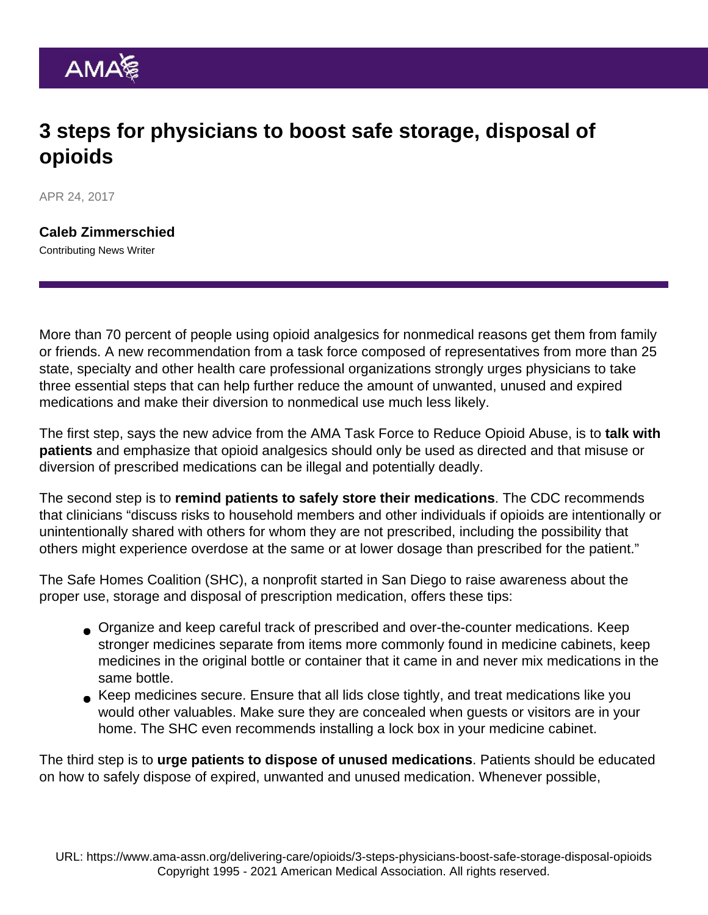## 3 steps for physicians to boost safe storage, disposal of opioids

APR 24, 2017

[Caleb Zimmerschied](https://www.ama-assn.org/news-leadership-viewpoints/authors-news-leadership-viewpoints/caleb-zimmerschied) Contributing News Writer

More than 70 percent of people using opioid analgesics for nonmedical reasons get them from family or friends. A new recommendation from a task force composed of representatives from more than 25 state, specialty and other health care professional organizations strongly urges physicians to take three essential steps that can help further reduce the amount of unwanted, unused and expired medications and make their diversion to nonmedical use much less likely.

The first step, says the new advice from the AMA [Task Force to Reduce Opioid Abuse,](https://www.end-opioid-epidemic.org/) is to talk with patients and emphasize that opioid analgesics should only be used as directed and that misuse or diversion of prescribed medications can be illegal and potentially deadly.

The second step is to remind patients to safely store their medications . The CDC recommends that clinicians "discuss risks to household members and other individuals if opioids are intentionally or unintentionally shared with others for whom they are not prescribed, including the possibility that others might experience overdose at the same or at lower dosage than prescribed for the patient."

The [Safe Homes Coalition](https://makeitasafehome.org/what-you-can-do/) (SHC), a nonprofit started in San Diego to raise awareness about the proper use, storage and disposal of prescription medication, offers these tips:

- Organize and keep careful track of prescribed and over-the-counter medications. Keep stronger medicines separate from items more commonly found in medicine cabinets, keep medicines in the original bottle or container that it came in and never mix medications in the same bottle.
- Keep medicines secure. Ensure that all lids close tightly, and treat medications like you would other valuables. Make sure they are concealed when guests or visitors are in your home. The SHC even recommends installing a lock box in your medicine cabinet.

The third step is to urge patients to dispose of unused medications . Patients should be educated on how to safely dispose of expired, unwanted and unused medication. Whenever possible,